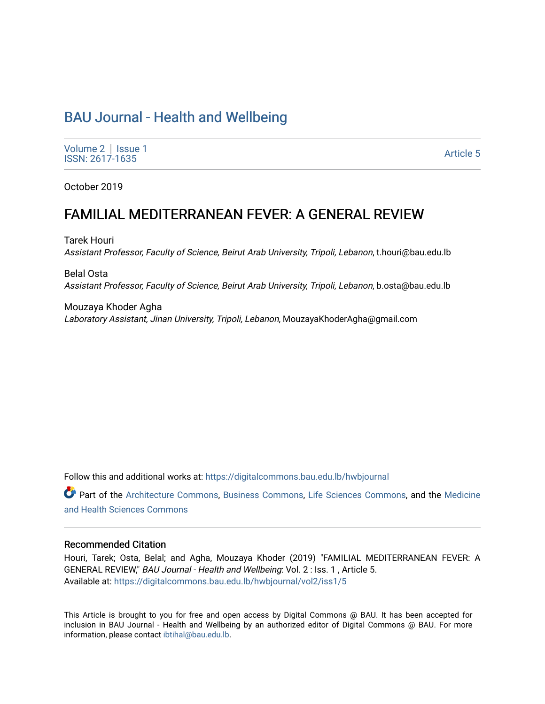# [BAU Journal - Health and Wellbeing](https://digitalcommons.bau.edu.lb/hwbjournal)

[Volume 2](https://digitalcommons.bau.edu.lb/hwbjournal/vol2) | Issue 1 Political Executive Contract of the Second Second Second Second Second Second Second Second Second Second Second Second Second Second Second Second Second Second Second Second Second Second Second Second Second Second Seco

October 2019

# FAMILIAL MEDITERRANEAN FEVER: A GENERAL REVIEW

Tarek Houri Assistant Professor, Faculty of Science, Beirut Arab University, Tripoli, Lebanon, t.houri@bau.edu.lb

Belal Osta Assistant Professor, Faculty of Science, Beirut Arab University, Tripoli, Lebanon, b.osta@bau.edu.lb

Mouzaya Khoder Agha Laboratory Assistant, Jinan University, Tripoli, Lebanon, MouzayaKhoderAgha@gmail.com

Follow this and additional works at: [https://digitalcommons.bau.edu.lb/hwbjournal](https://digitalcommons.bau.edu.lb/hwbjournal?utm_source=digitalcommons.bau.edu.lb%2Fhwbjournal%2Fvol2%2Fiss1%2F5&utm_medium=PDF&utm_campaign=PDFCoverPages)

Part of the [Architecture Commons](http://network.bepress.com/hgg/discipline/773?utm_source=digitalcommons.bau.edu.lb%2Fhwbjournal%2Fvol2%2Fiss1%2F5&utm_medium=PDF&utm_campaign=PDFCoverPages), [Business Commons,](http://network.bepress.com/hgg/discipline/622?utm_source=digitalcommons.bau.edu.lb%2Fhwbjournal%2Fvol2%2Fiss1%2F5&utm_medium=PDF&utm_campaign=PDFCoverPages) [Life Sciences Commons](http://network.bepress.com/hgg/discipline/1016?utm_source=digitalcommons.bau.edu.lb%2Fhwbjournal%2Fvol2%2Fiss1%2F5&utm_medium=PDF&utm_campaign=PDFCoverPages), and the [Medicine](http://network.bepress.com/hgg/discipline/648?utm_source=digitalcommons.bau.edu.lb%2Fhwbjournal%2Fvol2%2Fiss1%2F5&utm_medium=PDF&utm_campaign=PDFCoverPages)  [and Health Sciences Commons](http://network.bepress.com/hgg/discipline/648?utm_source=digitalcommons.bau.edu.lb%2Fhwbjournal%2Fvol2%2Fiss1%2F5&utm_medium=PDF&utm_campaign=PDFCoverPages)

#### Recommended Citation

Houri, Tarek; Osta, Belal; and Agha, Mouzaya Khoder (2019) "FAMILIAL MEDITERRANEAN FEVER: A GENERAL REVIEW," BAU Journal - Health and Wellbeing: Vol. 2 : Iss. 1 , Article 5. Available at: [https://digitalcommons.bau.edu.lb/hwbjournal/vol2/iss1/5](https://digitalcommons.bau.edu.lb/hwbjournal/vol2/iss1/5?utm_source=digitalcommons.bau.edu.lb%2Fhwbjournal%2Fvol2%2Fiss1%2F5&utm_medium=PDF&utm_campaign=PDFCoverPages) 

This Article is brought to you for free and open access by Digital Commons @ BAU. It has been accepted for inclusion in BAU Journal - Health and Wellbeing by an authorized editor of Digital Commons @ BAU. For more information, please contact [ibtihal@bau.edu.lb.](mailto:ibtihal@bau.edu.lb)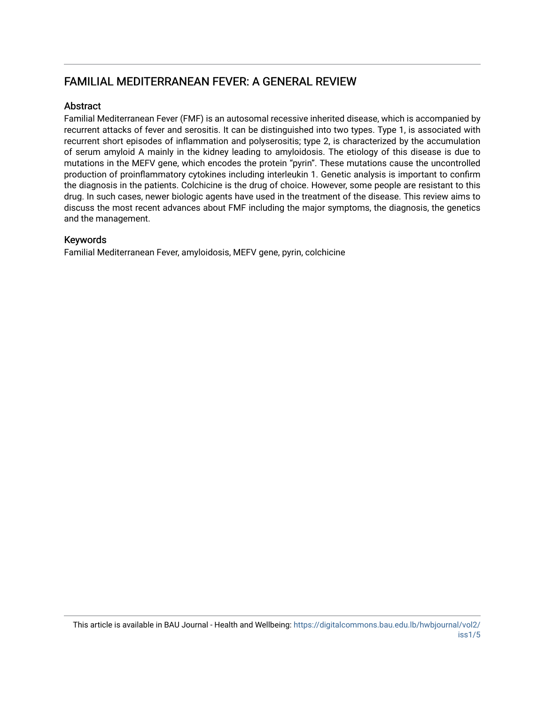## FAMILIAL MEDITERRANEAN FEVER: A GENERAL REVIEW

## Abstract

Familial Mediterranean Fever (FMF) is an autosomal recessive inherited disease, which is accompanied by recurrent attacks of fever and serositis. It can be distinguished into two types. Type 1, is associated with recurrent short episodes of inflammation and polyserositis; type 2, is characterized by the accumulation of serum amyloid A mainly in the kidney leading to amyloidosis. The etiology of this disease is due to mutations in the MEFV gene, which encodes the protein "pyrin". These mutations cause the uncontrolled production of proinflammatory cytokines including interleukin 1. Genetic analysis is important to confirm the diagnosis in the patients. Colchicine is the drug of choice. However, some people are resistant to this drug. In such cases, newer biologic agents have used in the treatment of the disease. This review aims to discuss the most recent advances about FMF including the major symptoms, the diagnosis, the genetics and the management.

## Keywords

Familial Mediterranean Fever, amyloidosis, MEFV gene, pyrin, colchicine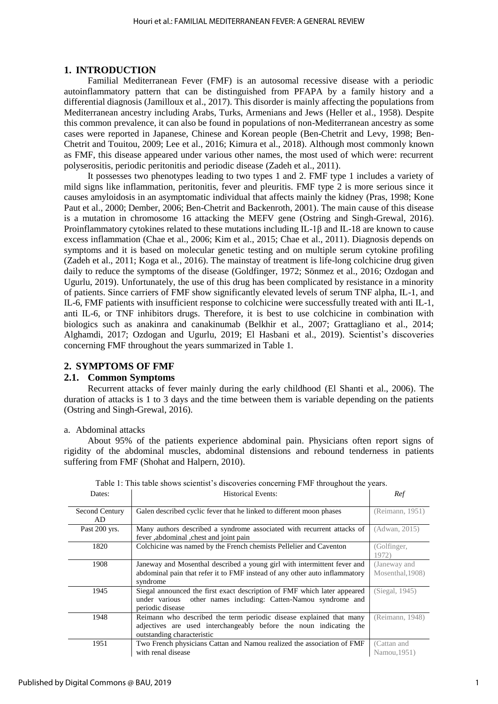## **1. INTRODUCTION**

Familial Mediterranean Fever (FMF) is an autosomal recessive disease with a periodic autoinflammatory pattern that can be distinguished from PFAPA by a family history and a differential diagnosis (Jamilloux et al., 2017). This disorder is mainly affecting the populations from Mediterranean ancestry including Arabs, Turks, Armenians and Jews (Heller et al., 1958). Despite this common prevalence, it can also be found in populations of non-Mediterranean ancestry as some cases were reported in Japanese, Chinese and Korean people (Ben-Chetrit and Levy, 1998; Ben-Chetrit and Touitou, 2009; Lee et al., 2016; Kimura et al., 2018). Although most commonly known as FMF, this disease appeared under various other names, the most used of which were: recurrent polyserositis, periodic peritonitis and periodic disease (Zadeh et al., 2011).

It possesses two phenotypes leading to two types 1 and 2. FMF type 1 includes a variety of mild signs like inflammation, peritonitis, fever and pleuritis. FMF type 2 is more serious since it causes amyloidosis in an asymptomatic individual that affects mainly the kidney (Pras, 1998; Kone Paut et al., 2000; Dember, 2006; Ben-Chetrit and Backenroth, 2001). The main cause of this disease is a mutation in chromosome 16 attacking the MEFV gene (Ostring and Singh-Grewal, 2016). Proinflammatory cytokines related to these mutations including IL-1β and IL-18 are known to cause excess inflammation (Chae et al., 2006; Kim et al., 2015; Chae et al., 2011). Diagnosis depends on symptoms and it is based on molecular genetic testing and on multiple serum cytokine profiling (Zadeh et al., 2011; Koga et al., 2016). The mainstay of treatment is life-long colchicine drug given daily to reduce the symptoms of the disease (Goldfinger, 1972; Sönmez et al., 2016; Ozdogan and Ugurlu, 2019). Unfortunately, the use of this drug has been complicated by resistance in a minority of patients. Since carriers of FMF show significantly elevated levels of serum TNF alpha, IL-1, and IL-6, FMF patients with insufficient response to colchicine were successfully treated with anti IL-1, anti IL-6, or TNF inhibitors drugs. Therefore, it is best to use colchicine in combination with biologics such as anakinra and canakinumab (Belkhir et al., 2007; Grattagliano et al., 2014; Alghamdi, 2017; Ozdogan and Ugurlu, 2019; El Hasbani et al., 2019). Scientist's discoveries concerning FMF throughout the years summarized in Table 1.

## **2. SYMPTOMS OF FMF**

#### **2.1. Common Symptoms**

Recurrent attacks of fever mainly during the early childhood (El Shanti et al., 2006). The duration of attacks is 1 to 3 days and the time between them is variable depending on the patients (Ostring and Singh-Grewal, 2016).

#### a. Abdominal attacks

About 95% of the patients experience abdominal pain. Physicians often report signs of rigidity of the abdominal muscles, abdominal distensions and rebound tenderness in patients suffering from FMF (Shohat and Halpern, 2010).

| Dates:                | <b>Historical Events:</b>                                                                                                                                               | Ref                              |
|-----------------------|-------------------------------------------------------------------------------------------------------------------------------------------------------------------------|----------------------------------|
| Second Century<br>AD. | Galen described cyclic fever that he linked to different moon phases                                                                                                    | (Reimann, 1951)                  |
| Past 200 yrs.         | Many authors described a syndrome associated with recurrent attacks of<br>fever , abdominal , chest and joint pain                                                      | (Adwan, 2015)                    |
| 1820                  | Colchicine was named by the French chemists Pellelier and Caventon                                                                                                      | (Golfinger,<br>1972)             |
| 1908                  | Janeway and Mosenthal described a young girl with intermittent fever and<br>abdominal pain that refer it to FMF instead of any other auto inflammatory<br>syndrome      | (Janeway and<br>Mosenthal, 1908) |
| 1945                  | Siegal announced the first exact description of FMF which later appeared<br>other names including: Catten-Namou syndrome and<br>under various<br>periodic disease       | (Siegal, 1945)                   |
| 1948                  | Reimann who described the term periodic disease explained that many<br>adjectives are used interchangeably before the noun indicating the<br>outstanding characteristic | (Reimann, 1948)                  |
| 1951                  | Two French physicians Cattan and Namou realized the association of FMF<br>with renal disease                                                                            | (Cattan and<br>Namou, 1951)      |

Table 1: This table shows scientist's discoveries concerning FMF throughout the years.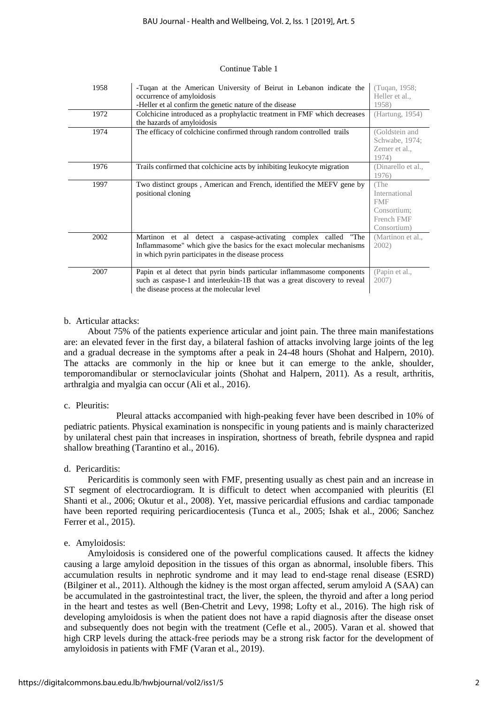#### Continue Table 1

| 1958 | -Tuqan at the American University of Beirut in Lebanon indicate the<br>occurrence of amyloidosis<br>-Heller et al confirm the genetic nature of the disease                                       | (Tugan, 1958;<br>Heller et al.,<br>1958)                                        |
|------|---------------------------------------------------------------------------------------------------------------------------------------------------------------------------------------------------|---------------------------------------------------------------------------------|
| 1972 | Colchicine introduced as a prophylactic treatment in FMF which decreases<br>the hazards of amyloidosis                                                                                            | (Hartung, 1954)                                                                 |
| 1974 | The efficacy of colchicine confirmed through random controlled trails                                                                                                                             | (Goldstein and<br>Schwabe, 1974;<br>Zemer et al.,<br>1974)                      |
| 1976 | Trails confirmed that colchicine acts by inhibiting leukocyte migration                                                                                                                           | (Dinarello et al.,<br>1976)                                                     |
| 1997 | Two distinct groups, American and French, identified the MEFV gene by<br>positional cloning                                                                                                       | (The<br>International<br><b>FMF</b><br>Consortium:<br>French FMF<br>Consortium) |
| 2002 | Martinon et al detect a caspase-activating complex called "The<br>Inflammasome" which give the basics for the exact molecular mechanisms<br>in which pyrin participates in the disease process    | (Martinon et al.,<br>2002)                                                      |
| 2007 | Papin et al detect that pyrin binds particular inflammasome components<br>such as caspase-1 and interleukin-1B that was a great discovery to reveal<br>the disease process at the molecular level | (Papin et al.,<br>2007)                                                         |

#### b. Articular attacks:

About 75% of the patients experience articular and joint pain. The three main manifestations are: an elevated fever in the first day, a bilateral fashion of attacks involving large joints of the leg and a gradual decrease in the symptoms after a peak in 24-48 hours (Shohat and Halpern, 2010). The attacks are commonly in the hip or knee but it can emerge to the ankle, shoulder, temporomandibular or sternoclavicular joints (Shohat and Halpern, 2011). As a result, arthritis, arthralgia and myalgia can occur (Ali et al., 2016).

#### c. Pleuritis:

Pleural attacks accompanied with high-peaking fever have been described in 10% of pediatric patients. Physical examination is nonspecific in young patients and is mainly characterized by unilateral chest pain that increases in inspiration, shortness of breath, febrile dyspnea and rapid shallow breathing (Tarantino et al., 2016).

#### d. Pericarditis:

Pericarditis is commonly seen with FMF, presenting usually as chest pain and an increase in ST segment of electrocardiogram. It is difficult to detect when accompanied with pleuritis (El Shanti et al., 2006; Okutur et al., 2008). Yet, massive pericardial effusions and cardiac tamponade have been reported requiring pericardiocentesis (Tunca et al., 2005; Ishak et al., 2006; Sanchez Ferrer et al., 2015).

#### e. Amyloidosis:

Amyloidosis is considered one of the powerful complications caused. It affects the kidney causing a large amyloid deposition in the tissues of this organ as abnormal, insoluble fibers. This accumulation results in nephrotic syndrome and it may lead to end-stage renal disease (ESRD) (Bilginer et al., 2011). Although the kidney is the most organ affected, serum amyloid A (SAA) can be accumulated in the gastrointestinal tract, the liver, the spleen, the thyroid and after a long period in the heart and testes as well (Ben-Chetrit and Levy, 1998; Lofty et al., 2016). The high risk of developing amyloidosis is when the patient does not have a rapid diagnosis after the disease onset and subsequently does not begin with the treatment (Cefle et al., 2005). Varan et al. showed that high CRP levels during the attack-free periods may be a strong risk factor for the development of amyloidosis in patients with FMF (Varan et al., 2019).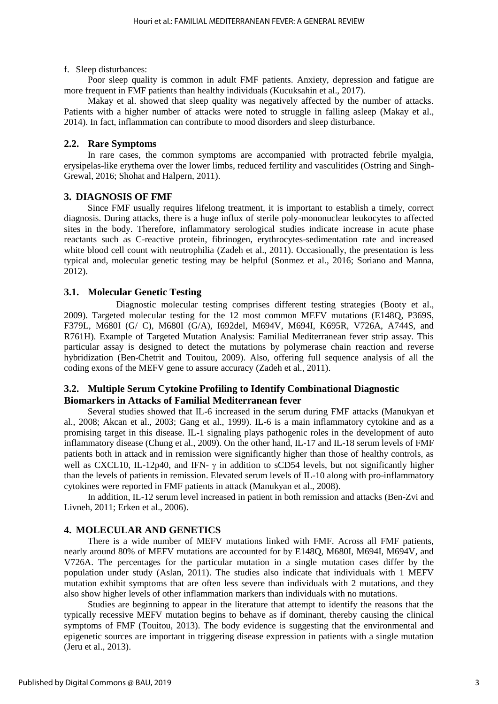#### f. Sleep disturbances:

Poor sleep quality is common in adult FMF patients. Anxiety, depression and fatigue are more frequent in FMF patients than healthy individuals (Kucuksahin et al., 2017).

Makay et al. showed that sleep quality was negatively affected by the number of attacks. Patients with a higher number of attacks were noted to struggle in falling asleep (Makay et al., 2014). In fact, inflammation can contribute to mood disorders and sleep disturbance.

## **2.2. Rare Symptoms**

In rare cases, the common symptoms are accompanied with protracted febrile myalgia, erysipelas-like erythema over the lower limbs, reduced fertility and vasculitides (Ostring and Singh-Grewal, 2016; Shohat and Halpern, 2011).

## **3. DIAGNOSIS OF FMF**

Since FMF usually requires lifelong treatment, it is important to establish a timely, correct diagnosis. During attacks, there is a huge influx of sterile poly-mononuclear leukocytes to affected sites in the body. Therefore, inflammatory serological studies indicate increase in acute phase reactants such as C-reactive protein, fibrinogen, erythrocytes-sedimentation rate and increased white blood cell count with neutrophilia (Zadeh et al., 2011). Occasionally, the presentation is less typical and, molecular genetic testing may be helpful (Sonmez et al., 2016; Soriano and Manna, 2012).

## **3.1. Molecular Genetic Testing**

Diagnostic molecular testing comprises different testing strategies (Booty et al., 2009). Targeted molecular testing for the 12 most common MEFV mutations (E148Q, P369S, F379L, M680I (G/ C), M680I (G/A), I692del, M694V, M694I, K695R, V726A, A744S, and R761H). Example of Targeted Mutation Analysis: Familial Mediterranean fever strip assay. This particular assay is designed to detect the mutations by polymerase chain reaction and reverse hybridization (Ben-Chetrit and Touitou, 2009). Also, offering full sequence analysis of all the coding exons of the MEFV gene to assure accuracy (Zadeh et al., 2011).

## **3.2. Multiple Serum Cytokine Profiling to Identify Combinational Diagnostic Biomarkers in Attacks of Familial Mediterranean fever**

Several studies showed that IL-6 increased in the serum during FMF attacks (Manukyan et al., 2008; Akcan et al., 2003; Gang et al., 1999). IL-6 is a main inflammatory cytokine and as a promising target in this disease. IL-1 signaling plays pathogenic roles in the development of auto inflammatory disease (Chung et al., 2009). On the other hand, IL-17 and IL-18 serum levels of FMF patients both in attack and in remission were significantly higher than those of healthy controls, as well as CXCL10, IL-12p40, and IFN-  $\gamma$  in addition to sCD54 levels, but not significantly higher than the levels of patients in remission. Elevated serum levels of IL-10 along with pro-inflammatory cytokines were reported in FMF patients in attack (Manukyan et al., 2008).

In addition, IL-12 serum level increased in patient in both remission and attacks (Ben-Zvi and Livneh, 2011; Erken et al., 2006).

#### **4. MOLECULAR AND GENETICS**

There is a wide number of MEFV mutations linked with FMF. Across all FMF patients, nearly around 80% of MEFV mutations are accounted for by E148Q, M680I, M694I, M694V, and V726A. The percentages for the particular mutation in a single mutation cases differ by the population under study (Aslan, 2011). The studies also indicate that individuals with 1 MEFV mutation exhibit symptoms that are often less severe than individuals with 2 mutations, and they also show higher levels of other inflammation markers than individuals with no mutations.

 Studies are beginning to appear in the literature that attempt to identify the reasons that the typically recessive MEFV mutation begins to behave as if dominant, thereby causing the clinical symptoms of FMF (Touitou, 2013). The body evidence is suggesting that the environmental and epigenetic sources are important in triggering disease expression in patients with a single mutation (Jeru et al., 2013).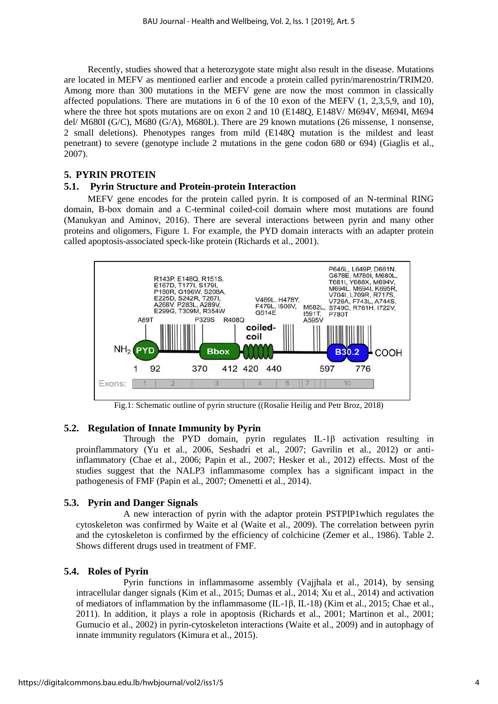Recently, studies showed that a heterozygote state might also result in the disease. Mutations are located in MEFV as mentioned earlier and encode a protein called pyrin/marenostrin/TRIM20. Among more than 300 mutations in the MEFV gene are now the most common in classically affected populations. There are mutations in 6 of the 10 exon of the MEFV (1, 2,3,5,9, and 10), where the three hot spots mutations are on exon 2 and 10 (E148Q, E148V/ M694V, M694I, M694 del/ M680I (G/C), M680 (G/A), M680L). There are 29 known mutations (26 missense, 1 nonsense, 2 small deletions). Phenotypes ranges from mild (E148Q mutation is the mildest and least penetrant) to severe (genotype include 2 mutations in the gene codon 680 or 694) (Giaglis et al., 2007).

## **5. PYRIN PROTEIN**

## **5.1. Pyrin Structure and Protein-protein Interaction**

MEFV gene encodes for the protein called pyrin. It is composed of an N-terminal RING domain, B-box domain and a C-terminal coiled-coil domain where most mutations are found (Manukyan and Aminov, 2016). There are several interactions between pyrin and many other proteins and oligomers, Figure 1. For example, the PYD domain interacts with an adapter protein called apoptosis-associated speck-like protein (Richards et al., 2001).



Fig.1: Schematic outline of pyrin structure ((Rosalie Heilig and Petr Broz, 2018)

## **5.2. Regulation of Innate Immunity by Pyrin**

Through the PYD domain, pyrin regulates IL-1β activation resulting in proinflammatory (Yu et al., 2006, Seshadri et al., 2007; Gavrilin et al., 2012) or antiinflammatory (Chae et al., 2006; Papin et al., 2007; Hesker et al., 2012) effects. Most of the studies suggest that the NALP3 inflammasome complex has a significant impact in the pathogenesis of FMF (Papin et al., 2007; Omenetti et al., 2014).

## **5.3. Pyrin and Danger Signals**

A new interaction of pyrin with the adaptor protein PSTPIP1which regulates the cytoskeleton was confirmed by Waite et al (Waite et al., 2009). The correlation between pyrin and the cytoskeleton is confirmed by the efficiency of colchicine (Zemer et al., 1986). Table 2. Shows different drugs used in treatment of FMF.

## **5.4. Roles of Pyrin**

Pyrin functions in inflammasome assembly (Vajjhala et al., 2014), by sensing intracellular danger signals (Kim et al., 2015; Dumas et al., 2014; Xu et al., 2014) and activation of mediators of inflammation by the inflammasome (IL-1β, IL-18) (Kim et al., 2015; Chae et al., 2011). In addition, it plays a role in apoptosis (Richards et al., 2001; Martinon et al., 2001; Gumucio et al., 2002) in pyrin-cytoskeleton interactions (Waite et al., 2009) and in autophagy of innate immunity regulators (Kimura et al., 2015).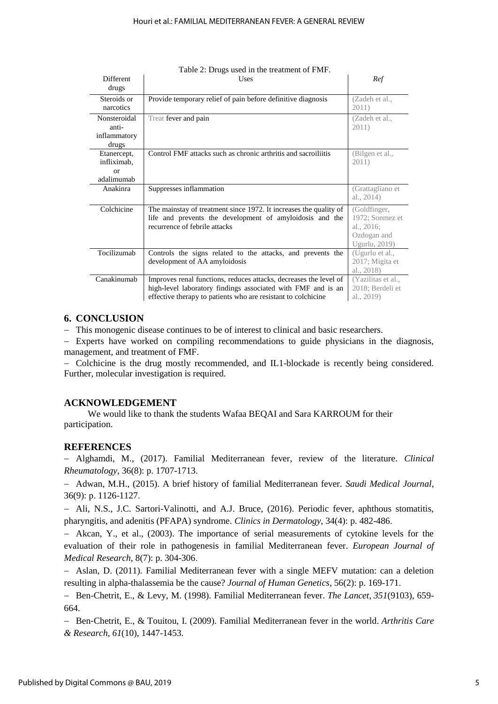| <b>Different</b><br>drugs                             | Uses                                                                                                                                                                                               | Ref                                                                           |
|-------------------------------------------------------|----------------------------------------------------------------------------------------------------------------------------------------------------------------------------------------------------|-------------------------------------------------------------------------------|
| Steroids or<br>narcotics                              | Provide temporary relief of pain before definitive diagnosis                                                                                                                                       | (Zadeh et al.,<br>2011)                                                       |
| Nonsteroidal<br>anti-<br>inflammatory<br>drugs        | Treat fever and pain                                                                                                                                                                               | (Zadeh et al.,<br>2011)                                                       |
| Etanercept,<br>infliximab,<br><b>or</b><br>adalimumah | Control FMF attacks such as chronic arthritis and sacroiliitis                                                                                                                                     | (Bilgen et al.,<br>2011)                                                      |
| Anakinra                                              | Suppresses inflammation                                                                                                                                                                            | (Grattagliano et<br>al., 2014)                                                |
| Colchicine                                            | The mainstay of treatment since 1972. It increases the quality of<br>life and prevents the development of amyloidosis and the<br>recurrence of febrile attacks                                     | (Goldfinger,<br>1972; Sonmez et<br>al., 2016;<br>Ozdogan and<br>Ugurlu, 2019) |
| Tocilizumab                                           | Controls the signs related to the attacks, and prevents the<br>development of AA amyloidosis                                                                                                       | (Ugurlu et al.,<br>2017; Migita et<br>al., 2018)                              |
| Canakinumab                                           | Improves renal functions, reduces attacks, decreases the level of<br>high-level laboratory findings associated with FMF and is an<br>effective therapy to patients who are resistant to colchicine | (Yazilitas et al.,<br>2018; Berdeli et<br>al., 2019)                          |

| Table 2: Drugs used in the treatment of FMF. |  |
|----------------------------------------------|--|
|----------------------------------------------|--|

## **6. CONCLUSION**

This monogenic disease continues to be of interest to clinical and basic researchers.

- Experts have worked on compiling recommendations to guide physicians in the diagnosis, management, and treatment of FMF.

 Colchicine is the drug mostly recommended, and IL1-blockade is recently being considered. Further, molecular investigation is required.

## **ACKNOWLEDGEMENT**

We would like to thank the students Wafaa BEQAI and Sara KARROUM for their participation.

## **REFERENCES**

 Alghamdi, M., (2017). Familial Mediterranean fever, review of the literature. *Clinical Rheumatology*, 36(8): p. 1707-1713.

 Adwan, M.H., (2015). A brief history of familial Mediterranean fever. *Saudi Medical Journal*, 36(9): p. 1126-1127.

 Ali, N.S., J.C. Sartori-Valinotti, and A.J. Bruce, (2016). Periodic fever, aphthous stomatitis, pharyngitis, and adenitis (PFAPA) syndrome. *Clinics in Dermatology*, 34(4): p. 482-486.

 Akcan, Y., et al., (2003). The importance of serial measurements of cytokine levels for the evaluation of their role in pathogenesis in familial Mediterranean fever. *European Journal of Medical Research*, 8(7): p. 304-306.

- Aslan, D. (2011). Familial Mediterranean fever with a single MEFV mutation: can a deletion resulting in alpha-thalassemia be the cause? *Journal of Human Genetics*, 56(2): p. 169-171.

 Ben-Chetrit, E., & Levy, M. (1998). Familial Mediterranean fever. *The Lancet*, *351*(9103), 659- 664.

 Ben‐Chetrit, E., & Touitou, I. (2009). Familial Mediterranean fever in the world. *Arthritis Care & Research*, *61*(10), 1447-1453.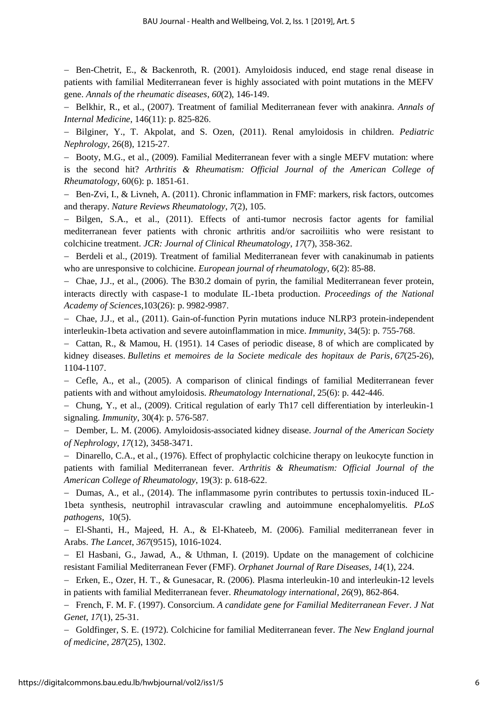Ben-Chetrit, E., & Backenroth, R. (2001). Amyloidosis induced, end stage renal disease in patients with familial Mediterranean fever is highly associated with point mutations in the MEFV gene. *Annals of the rheumatic diseases*, *60*(2), 146-149.

 Belkhir, R., et al., (2007). Treatment of familial Mediterranean fever with anakinra. *Annals of Internal Medicine*, 146(11): p. 825-826.

 Bilginer, Y., T. Akpolat, and S. Ozen, (2011). Renal amyloidosis in children. *Pediatric Nephrology,* 26(8), 1215-27.

- Booty, M.G., et al., (2009). Familial Mediterranean fever with a single MEFV mutation: where is the second hit? *Arthritis & Rheumatism: Official Journal of the American College of Rheumatology*, 60(6): p. 1851-61.

- Ben-Zvi, I., & Livneh, A. (2011). Chronic inflammation in FMF: markers, risk factors, outcomes and therapy. *Nature Reviews Rheumatology*, *7*(2), 105.

- Bilgen, S.A., et al., (2011). Effects of anti-tumor necrosis factor agents for familial mediterranean fever patients with chronic arthritis and/or sacroiliitis who were resistant to colchicine treatment. *JCR: Journal of Clinical Rheumatology*, *17*(7), 358-362.

- Berdeli et al., (2019). Treatment of familial Mediterranean fever with canakinumab in patients who are unresponsive to colchicine. *European journal of rheumatology*, 6(2): 85-88.

- Chae, J.J., et al., (2006). The B30.2 domain of pyrin, the familial Mediterranean fever protein, interacts directly with caspase-1 to modulate IL-1beta production. *Proceedings of the National Academy of Sciences*,103(26): p. 9982-9987.

 Chae, J.J., et al., (2011). Gain-of-function Pyrin mutations induce NLRP3 protein-independent interleukin-1beta activation and severe autoinflammation in mice. *Immunity*, 34(5): p. 755-768.

 Cattan, R., & Mamou, H. (1951). 14 Cases of periodic disease, 8 of which are complicated by kidney diseases. *Bulletins et memoires de la Societe medicale des hopitaux de Paris*, *67*(25-26), 1104-1107.

 Cefle, A., et al., (2005). A comparison of clinical findings of familial Mediterranean fever patients with and without amyloidosis. *Rheumatology International*, 25(6): p. 442-446.

 Chung, Y., et al., (2009). Critical regulation of early Th17 cell differentiation by interleukin-1 signaling. *Immunity*, 30(4): p. 576-587.

 Dember, L. M. (2006). Amyloidosis-associated kidney disease. *Journal of the American Society of Nephrology*, *17*(12), 3458-3471.

- Dinarello, C.A., et al., (1976). Effect of prophylactic colchicine therapy on leukocyte function in patients with familial Mediterranean fever. *Arthritis & Rheumatism: Official Journal of the American College of Rheumatology*, 19(3): p. 618-622.

 $-$  Dumas, A., et al., (2014). The inflammasome pyrin contributes to pertussis toxin-induced IL-1beta synthesis, neutrophil intravascular crawling and autoimmune encephalomyelitis. *PLoS pathogens*, 10(5).

 El-Shanti, H., Majeed, H. A., & El-Khateeb, M. (2006). Familial mediterranean fever in Arabs. *The Lancet*, *367*(9515), 1016-1024.

- El Hasbani, G., Jawad, A., & Uthman, I. (2019). Update on the management of colchicine resistant Familial Mediterranean Fever (FMF). *Orphanet Journal of Rare Diseases*, *14*(1), 224.

 Erken, E., Ozer, H. T., & Gunesacar, R. (2006). Plasma interleukin-10 and interleukin-12 levels in patients with familial Mediterranean fever. *Rheumatology international*, *26*(9), 862-864.

 French, F. M. F. (1997). Consorcium. *A candidate gene for Familial Mediterranean Fever. J Nat Genet*, *17*(1), 25-31.

 Goldfinger, S. E. (1972). Colchicine for familial Mediterranean fever. *The New England journal of medicine*, *287*(25), 1302.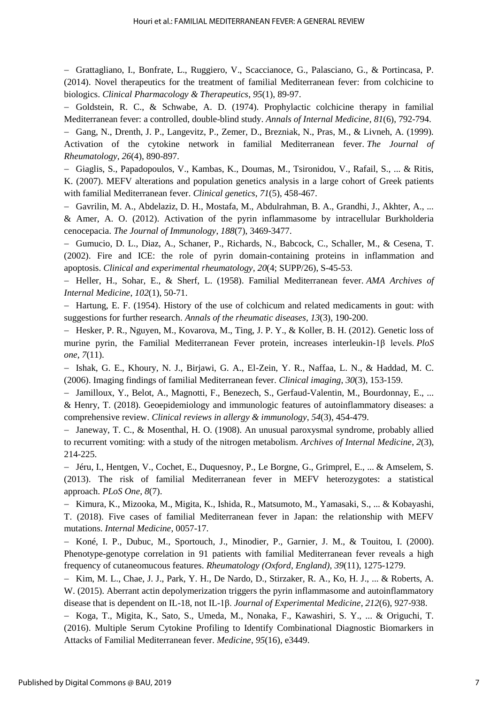Grattagliano, I., Bonfrate, L., Ruggiero, V., Scaccianoce, G., Palasciano, G., & Portincasa, P. (2014). Novel therapeutics for the treatment of familial Mediterranean fever: from colchicine to biologics. *Clinical Pharmacology & Therapeutics*, *95*(1), 89-97.

 $-$  Goldstein, R. C., & Schwabe, A. D. (1974). Prophylactic colchicine therapy in familial Mediterranean fever: a controlled, double-blind study. *Annals of Internal Medicine*, *81*(6), 792-794.

 Gang, N., Drenth, J. P., Langevitz, P., Zemer, D., Brezniak, N., Pras, M., & Livneh, A. (1999). Activation of the cytokine network in familial Mediterranean fever. *The Journal of Rheumatology*, *26*(4), 890-897.

 Giaglis, S., Papadopoulos, V., Kambas, K., Doumas, M., Tsironidou, V., Rafail, S., ... & Ritis, K. (2007). MEFV alterations and population genetics analysis in a large cohort of Greek patients with familial Mediterranean fever. *Clinical genetics*, *71*(5), 458-467.

 Gavrilin, M. A., Abdelaziz, D. H., Mostafa, M., Abdulrahman, B. A., Grandhi, J., Akhter, A., ... & Amer, A. O. (2012). Activation of the pyrin inflammasome by intracellular Burkholderia cenocepacia. *The Journal of Immunology*, *188*(7), 3469-3477.

 Gumucio, D. L., Diaz, A., Schaner, P., Richards, N., Babcock, C., Schaller, M., & Cesena, T. (2002). Fire and ICE: the role of pyrin domain-containing proteins in inflammation and apoptosis. *Clinical and experimental rheumatology*, *20*(4; SUPP/26), S-45-53.

 Heller, H., Sohar, E., & Sherf, L. (1958). Familial Mediterranean fever. *AMA Archives of Internal Medicine*, *102*(1), 50-71.

- Hartung, E. F. (1954). History of the use of colchicum and related medicaments in gout: with suggestions for further research. *Annals of the rheumatic diseases*, *13*(3), 190-200.

- Hesker, P. R., Nguyen, M., Kovarova, M., Ting, J. P. Y., & Koller, B. H. (2012). Genetic loss of murine pyrin, the Familial Mediterranean Fever protein, increases interleukin-1β levels. *PloS one*, *7*(11).

 Ishak, G. E., Khoury, N. J., Birjawi, G. A., El-Zein, Y. R., Naffaa, L. N., & Haddad, M. C. (2006). Imaging findings of familial Mediterranean fever. *Clinical imaging*, *30*(3), 153-159.

 Jamilloux, Y., Belot, A., Magnotti, F., Benezech, S., Gerfaud-Valentin, M., Bourdonnay, E., ... & Henry, T. (2018). Geoepidemiology and immunologic features of autoinflammatory diseases: a comprehensive review. *Clinical reviews in allergy & immunology*, *54*(3), 454-479.

 Janeway, T. C., & Mosenthal, H. O. (1908). An unusual paroxysmal syndrome, probably allied to recurrent vomiting: with a study of the nitrogen metabolism. *Archives of Internal Medicine*, *2*(3), 214-225.

 Jéru, I., Hentgen, V., Cochet, E., Duquesnoy, P., Le Borgne, G., Grimprel, E., ... & Amselem, S. (2013). The risk of familial Mediterranean fever in MEFV heterozygotes: a statistical approach. *PLoS One*, *8*(7).

 Kimura, K., Mizooka, M., Migita, K., Ishida, R., Matsumoto, M., Yamasaki, S., ... & Kobayashi, T. (2018). Five cases of familial Mediterranean fever in Japan: the relationship with MEFV mutations. *Internal Medicine*, 0057-17.

 Koné, I. P., Dubuc, M., Sportouch, J., Minodier, P., Garnier, J. M., & Touitou, I. (2000). Phenotype-genotype correlation in 91 patients with familial Mediterranean fever reveals a high frequency of cutaneomucous features. *Rheumatology (Oxford, England)*, *39*(11), 1275-1279.

- Kim, M. L., Chae, J. J., Park, Y. H., De Nardo, D., Stirzaker, R. A., Ko, H. J., ... & Roberts, A. W. (2015). Aberrant actin depolymerization triggers the pyrin inflammasome and autoinflammatory disease that is dependent on IL-18, not IL-1β. *Journal of Experimental Medicine*, *212*(6), 927-938.

- Koga, T., Migita, K., Sato, S., Umeda, M., Nonaka, F., Kawashiri, S. Y., ... & Origuchi, T. (2016). Multiple Serum Cytokine Profiling to Identify Combinational Diagnostic Biomarkers in Attacks of Familial Mediterranean fever. *Medicine*, *95*(16), e3449.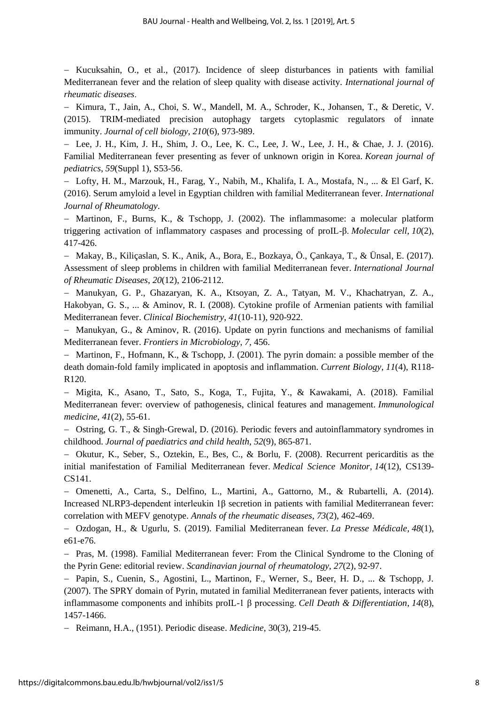$-$  Kucuksahin, O., et al., (2017). Incidence of sleep disturbances in patients with familial Mediterranean fever and the relation of sleep quality with disease activity. *International journal of rheumatic diseases*.

- Kimura, T., Jain, A., Choi, S. W., Mandell, M. A., Schroder, K., Johansen, T., & Deretic, V. (2015). TRIM-mediated precision autophagy targets cytoplasmic regulators of innate immunity. *Journal of cell biology*, *210*(6), 973-989.

 Lee, J. H., Kim, J. H., Shim, J. O., Lee, K. C., Lee, J. W., Lee, J. H., & Chae, J. J. (2016). Familial Mediterranean fever presenting as fever of unknown origin in Korea. *Korean journal of pediatrics*, *59*(Suppl 1), S53-56.

 Lofty, H. M., Marzouk, H., Farag, Y., Nabih, M., Khalifa, I. A., Mostafa, N., ... & El Garf, K. (2016). Serum amyloid a level in Egyptian children with familial Mediterranean fever. *International Journal of Rheumatology*.

 $-$  Martinon, F., Burns, K., & Tschopp, J. (2002). The inflammasome: a molecular platform triggering activation of inflammatory caspases and processing of proIL-β. *Molecular cell*, *10*(2), 417-426.

 Makay, B., Kiliçaslan, S. K., Anik, A., Bora, E., Bozkaya, Ö., Çankaya, T., & Ünsal, E. (2017). Assessment of sleep problems in children with familial Mediterranean fever. *International Journal of Rheumatic Diseases*, *20*(12), 2106-2112.

 Manukyan, G. P., Ghazaryan, K. A., Ktsoyan, Z. A., Tatyan, M. V., Khachatryan, Z. A., Hakobyan, G. S., ... & Aminov, R. I. (2008). Cytokine profile of Armenian patients with familial Mediterranean fever. *Clinical Biochemistry*, *41*(10-11), 920-922.

- Manukyan, G., & Aminov, R. (2016). Update on pyrin functions and mechanisms of familial Mediterranean fever. *Frontiers in Microbiology*, *7*, 456.

 $-$  Martinon, F., Hofmann, K., & Tschopp, J. (2001). The pyrin domain: a possible member of the death domain-fold family implicated in apoptosis and inflammation. *Current Biology*, *11*(4), R118- R120.

 Migita, K., Asano, T., Sato, S., Koga, T., Fujita, Y., & Kawakami, A. (2018). Familial Mediterranean fever: overview of pathogenesis, clinical features and management. *Immunological medicine*, *41*(2), 55-61.

- Ostring, G. T., & Singh-Grewal, D. (2016). Periodic fevers and autoinflammatory syndromes in childhood. *Journal of paediatrics and child health*, *52*(9), 865-871.

 Okutur, K., Seber, S., Oztekin, E., Bes, C., & Borlu, F. (2008). Recurrent pericarditis as the initial manifestation of Familial Mediterranean fever. *Medical Science Monitor*, *14*(12), CS139- CS141.

 Omenetti, A., Carta, S., Delfino, L., Martini, A., Gattorno, M., & Rubartelli, A. (2014). Increased NLRP3-dependent interleukin 1β secretion in patients with familial Mediterranean fever: correlation with MEFV genotype. *Annals of the rheumatic diseases*, *73*(2), 462-469.

 Ozdogan, H., & Ugurlu, S. (2019). Familial Mediterranean fever. *La Presse Médicale*, *48*(1), e61-e76.

- Pras, M. (1998). Familial Mediterranean fever: From the Clinical Syndrome to the Cloning of the Pyrin Gene: editorial review. *Scandinavian journal of rheumatology*, *27*(2), 92-97.

- Papin, S., Cuenin, S., Agostini, L., Martinon, F., Werner, S., Beer, H. D., ... & Tschopp, J. (2007). The SPRY domain of Pyrin, mutated in familial Mediterranean fever patients, interacts with inflammasome components and inhibits proIL-1 β processing. *Cell Death & Differentiation*, *14*(8), 1457-1466.

Reimann, H.A., (1951). Periodic disease. *Medicine*, 30(3), 219-45.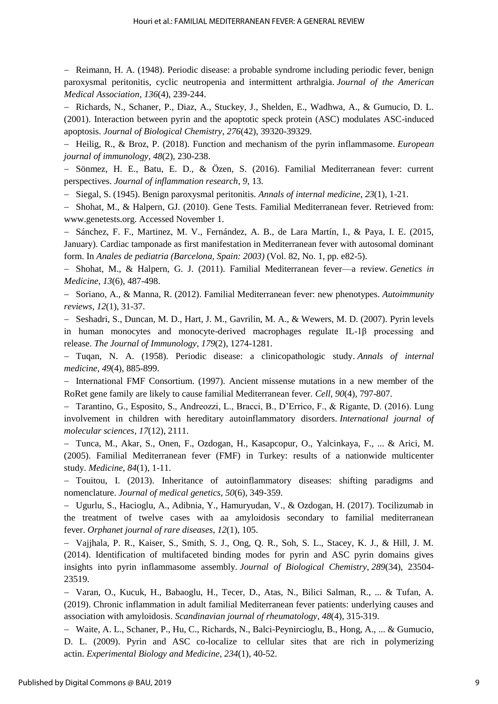Reimann, H. A. (1948). Periodic disease: a probable syndrome including periodic fever, benign paroxysmal peritonitis, cyclic neutropenia and intermittent arthralgia. *Journal of the American Medical Association*, *136*(4), 239-244.

- Richards, N., Schaner, P., Diaz, A., Stuckey, J., Shelden, E., Wadhwa, A., & Gumucio, D. L. (2001). Interaction between pyrin and the apoptotic speck protein (ASC) modulates ASC-induced apoptosis. *Journal of Biological Chemistry*, *276*(42), 39320-39329.

 Heilig, R., & Broz, P. (2018). Function and mechanism of the pyrin inflammasome. *European journal of immunology*, *48*(2), 230-238.

 Sönmez, H. E., Batu, E. D., & Özen, S. (2016). Familial Mediterranean fever: current perspectives. *Journal of inflammation research*, *9*, 13.

Siegal, S. (1945). Benign paroxysmal peritonitis. *Annals of internal medicine*, *23*(1), 1-21.

 Shohat, M., & Halpern, GJ. (2010). Gene Tests. Familial Mediterranean fever. Retrieved from: www.genetests.org. Accessed November 1.

- Sánchez, F. F., Martinez, M. V., Fernández, A. B., de Lara Martín, I., & Paya, I. E. (2015, January). Cardiac tamponade as first manifestation in Mediterranean fever with autosomal dominant form. In *Anales de pediatria (Barcelona, Spain: 2003)* (Vol. 82, No. 1, pp. e82-5).

 Shohat, M., & Halpern, G. J. (2011). Familial Mediterranean fever—a review. *Genetics in Medicine*, *13*(6), 487-498.

 Soriano, A., & Manna, R. (2012). Familial Mediterranean fever: new phenotypes. *Autoimmunity reviews*, *12*(1), 31-37.

- Seshadri, S., Duncan, M. D., Hart, J. M., Gavrilin, M. A., & Wewers, M. D. (2007). Pyrin levels in human monocytes and monocyte-derived macrophages regulate IL-1β processing and release. *The Journal of Immunology*, *179*(2), 1274-1281.

 Tuqan, N. A. (1958). Periodic disease: a clinicopathologic study. *Annals of internal medicine*, *49*(4), 885-899.

 International FMF Consortium. (1997). Ancient missense mutations in a new member of the RoRet gene family are likely to cause familial Mediterranean fever. *Cell*, *90*(4), 797-807.

 Tarantino, G., Esposito, S., Andreozzi, L., Bracci, B., D'Errico, F., & Rigante, D. (2016). Lung involvement in children with hereditary autoinflammatory disorders. *International journal of molecular sciences*, *17*(12), 2111.

 Tunca, M., Akar, S., Onen, F., Ozdogan, H., Kasapcopur, O., Yalcinkaya, F., ... & Arici, M. (2005). Familial Mediterranean fever (FMF) in Turkey: results of a nationwide multicenter study. *Medicine*, *84*(1), 1-11.

- Touitou, I. (2013). Inheritance of autoinflammatory diseases: shifting paradigms and nomenclature. *Journal of medical genetics*, *50*(6), 349-359.

 Ugurlu, S., Hacioglu, A., Adibnia, Y., Hamuryudan, V., & Ozdogan, H. (2017). Tocilizumab in the treatment of twelve cases with aa amyloidosis secondary to familial mediterranean fever. *Orphanet journal of rare diseases*, *12*(1), 105.

 Vajjhala, P. R., Kaiser, S., Smith, S. J., Ong, Q. R., Soh, S. L., Stacey, K. J., & Hill, J. M. (2014). Identification of multifaceted binding modes for pyrin and ASC pyrin domains gives insights into pyrin inflammasome assembly. *Journal of Biological Chemistry*, *289*(34), 23504- 23519.

 Varan, O., Kucuk, H., Babaoglu, H., Tecer, D., Atas, N., Bilici Salman, R., ... & Tufan, A. (2019). Chronic inflammation in adult familial Mediterranean fever patients: underlying causes and association with amyloidosis. *Scandinavian journal of rheumatology*, *48*(4), 315-319.

 Waite, A. L., Schaner, P., Hu, C., Richards, N., Balci-Peynircioglu, B., Hong, A., ... & Gumucio, D. L. (2009). Pyrin and ASC co-localize to cellular sites that are rich in polymerizing actin. *Experimental Biology and Medicine*, *234*(1), 40-52.